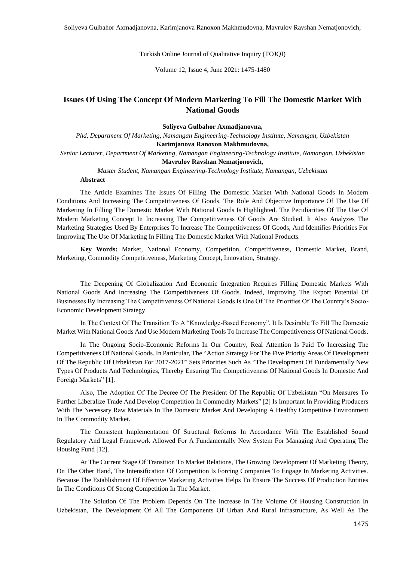Turkish Online Journal of Qualitative Inquiry (TOJQI)

Volume 12, Issue 4, June 2021: 1475-1480

# **Issues Of Using The Concept Of Modern Marketing To Fill The Domestic Market With National Goods**

**Soliyeva Gulbahor Axmadjanovna,**

*Phd, Department Of Marketing, Namangan Engineering-Technology Institute, Namangan, Uzbekistan* **Karimjanova Ranoxon Makhmudovna,** *Senior Lecturer, Department Of Marketing, Namangan Engineering-Technology Institute, Namangan, Uzbekistan*

#### **Mavrulov Ravshan Nematjonovich,**

*Master Student, Namangan Engineering-Technology Institute, Namangan, Uzbekistan* **Abstract**

The Article Examines The Issues Of Filling The Domestic Market With National Goods In Modern Conditions And Increasing The Competitiveness Of Goods. The Role And Objective Importance Of The Use Of Marketing In Filling The Domestic Market With National Goods Is Highlighted. The Peculiarities Of The Use Of Modern Marketing Concept In Increasing The Competitiveness Of Goods Are Studied. It Also Analyzes The Marketing Strategies Used By Enterprises To Increase The Competitiveness Of Goods, And Identifies Priorities For Improving The Use Of Marketing In Filling The Domestic Market With National Products.

**Key Words:** Market, National Economy, Competition, Competitiveness, Domestic Market, Brand, Marketing, Commodity Competitiveness, Marketing Concept, Innovation, Strategy.

The Deepening Of Globalization And Economic Integration Requires Filling Domestic Markets With National Goods And Increasing The Competitiveness Of Goods. Indeed, Improving The Export Potential Of Businesses By Increasing The Competitiveness Of National Goods Is One Of The Priorities Of The Country's Socio-Economic Development Strategy.

In The Context Of The Transition To A "Knowledge-Based Economy", It Is Desirable To Fill The Domestic Market With National Goods And Use Modern Marketing Tools To Increase The Competitiveness Of National Goods.

In The Ongoing Socio-Economic Reforms In Our Country, Real Attention Is Paid To Increasing The Competitiveness Of National Goods. In Particular, The "Action Strategy For The Five Priority Areas Of Development Of The Republic Of Uzbekistan For 2017-2021" Sets Priorities Such As "The Development Of Fundamentally New Types Of Products And Technologies, Thereby Ensuring The Competitiveness Of National Goods In Domestic And Foreign Markets" [1].

Also, The Adoption Of The Decree Of The President Of The Republic Of Uzbekistan "On Measures To Further Liberalize Trade And Develop Competition In Commodity Markets" [2] Is Important In Providing Producers With The Necessary Raw Materials In The Domestic Market And Developing A Healthy Competitive Environment In The Commodity Market.

The Consistent Implementation Of Structural Reforms In Accordance With The Established Sound Regulatory And Legal Framework Allowed For A Fundamentally New System For Managing And Operating The Housing Fund [12].

At The Current Stage Of Transition To Market Relations, The Growing Development Of Marketing Theory, On The Other Hand, The Intensification Of Competition Is Forcing Companies To Engage In Marketing Activities. Because The Establishment Of Effective Marketing Activities Helps To Ensure The Success Of Production Entities In The Conditions Of Strong Competition In The Market.

The Solution Of The Problem Depends On The Increase In The Volume Of Housing Construction In Uzbekistan, The Development Of All The Components Of Urban And Rural Infrastructure, As Well As The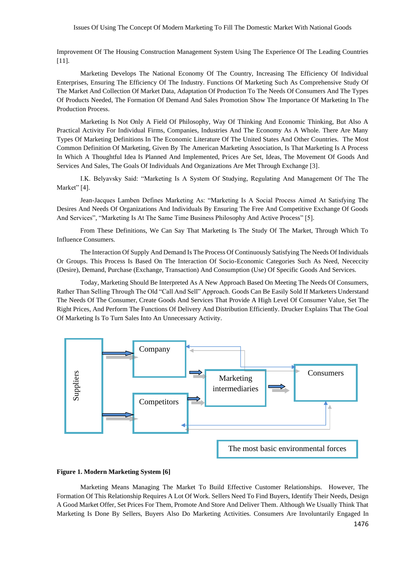#### Issues Of Using The Concept Of Modern Marketing To Fill The Domestic Market With National Goods

Improvement Of The Housing Construction Management System Using The Experience Of The Leading Countries [11].

Marketing Develops The National Economy Of The Country, Increasing The Efficiency Of Individual Enterprises, Ensuring The Efficiency Of The Industry. Functions Of Marketing Such As Comprehensive Study Of The Market And Collection Of Market Data, Adaptation Of Production To The Needs Of Consumers And The Types Of Products Needed, The Formation Of Demand And Sales Promotion Show The Importance Of Marketing In The Production Process.

Marketing Is Not Only A Field Of Philosophy, Way Of Thinking And Economic Thinking, But Also A Practical Activity For Individual Firms, Companies, Industries And The Economy As A Whole. There Are Many Types Of Marketing Definitions In The Economic Literature Of The United States And Other Countries. The Most Common Definition Of Marketing, Given By The American Marketing Association, Is That Marketing Is A Process In Which A Thoughtful Idea Is Planned And Implemented, Prices Are Set, Ideas, The Movement Of Goods And Services And Sales, The Goals Of Individuals And Organizations Are Met Through Exchange [3].

I.K. Belyavsky Said: "Marketing Is A System Of Studying, Regulating And Management Of The The Market" [4].

Jean-Jacques Lamben Defines Marketing As: "Marketing Is A Social Process Aimed At Satisfying The Desires And Needs Of Organizations And Individuals By Ensuring The Free And Competitive Exchange Of Goods And Services", "Marketing Is At The Same Time Business Philosophy And Active Process" [5].

From These Definitions, We Can Say That Marketing Is The Study Of The Market, Through Which To Influence Consumers.

The Interaction Of Supply And Demand Is The Process Of Continuously Satisfying The Needs Of Individuals Or Groups. This Process Is Based On The Interaction Of Socio-Economic Categories Such As Need, Nececcity (Desire), Demand, Purchase (Exchange, Transaction) And Consumption (Use) Of Specific Goods And Services.

Today, Marketing Should Be Interpreted As A New Approach Based On Meeting The Needs Of Consumers, Rather Than Selling Through The Old "Call And Sell" Approach. Goods Can Be Easily Sold If Marketers Understand The Needs Of The Consumer, Create Goods And Services That Provide A High Level Of Consumer Value, Set The Right Prices, And Perform The Functions Of Delivery And Distribution Efficiently. Drucker Explains That The Goal Of Marketing Is To Turn Sales Into An Unnecessary Activity.



### **Figure 1. Modern Marketing System [6]**

Marketing Means Managing The Market To Build Effective Customer Relationships. However, The Formation Of This Relationship Requires A Lot Of Work. Sellers Need To Find Buyers, Identify Their Needs, Design A Good Market Offer, Set Prices For Them, Promote And Store And Deliver Them. Although We Usually Think That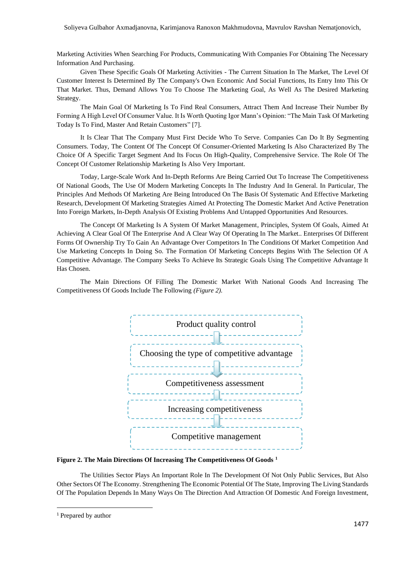Soliyeva Gulbahor Axmadjanovna, Karimjanova Ranoxon Makhmudovna, Mavrulov Ravshan Nematjonovich,

Marketing Activities When Searching For Products, Communicating With Companies For Obtaining The Necessary Information And Purchasing.

Given These Specific Goals Of Marketing Activities - The Current Situation In The Market, The Level Of Customer Interest Is Determined By The Company's Own Economic And Social Functions, Its Entry Into This Or That Market. Thus, Demand Allows You To Choose The Marketing Goal, As Well As The Desired Marketing Strategy.

The Main Goal Of Marketing Is To Find Real Consumers, Attract Them And Increase Their Number By Forming A High Level Of Consumer Value. It Is Worth Quoting Igor Mann's Opinion: "The Main Task Of Marketing Today Is To Find, Master And Retain Customers" [7].

It Is Clear That The Company Must First Decide Who To Serve. Companies Can Do It By Segmenting Consumers. Today, The Content Of The Concept Of Consumer-Oriented Marketing Is Also Characterized By The Choice Of A Specific Target Segment And Its Focus On High-Quality, Comprehensive Service. The Role Of The Concept Of Customer Relationship Marketing Is Also Very Important.

Today, Large-Scale Work And In-Depth Reforms Are Being Carried Out To Increase The Competitiveness Of National Goods, The Use Of Modern Marketing Concepts In The Industry And In General. In Particular, The Principles And Methods Of Marketing Are Being Introduced On The Basis Of Systematic And Effective Marketing Research, Development Of Marketing Strategies Aimed At Protecting The Domestic Market And Active Penetration Into Foreign Markets, In-Depth Analysis Of Existing Problems And Untapped Opportunities And Resources.

The Concept Of Marketing Is A System Of Market Management, Principles, System Of Goals, Aimed At Achieving A Clear Goal Of The Enterprise And A Clear Way Of Operating In The Market.. Enterprises Of Different Forms Of Ownership Try To Gain An Advantage Over Competitors In The Conditions Of Market Competition And Use Marketing Concepts In Doing So. The Formation Of Marketing Concepts Begins With The Selection Of A Competitive Advantage. The Company Seeks To Achieve Its Strategic Goals Using The Competitive Advantage It Has Chosen.

The Main Directions Of Filling The Domestic Market With National Goods And Increasing The Competitiveness Of Goods Include The Following *(Figure 2).*



**Figure 2. The Main Directions Of Increasing The Competitiveness Of Goods <sup>1</sup>**

The Utilities Sector Plays An Important Role In The Development Of Not Only Public Services, But Also Other Sectors Of The Economy. Strengthening The Economic Potential Of The State, Improving The Living Standards Of The Population Depends In Many Ways On The Direction And Attraction Of Domestic And Foreign Investment,

<sup>&</sup>lt;sup>1</sup> Prepared by author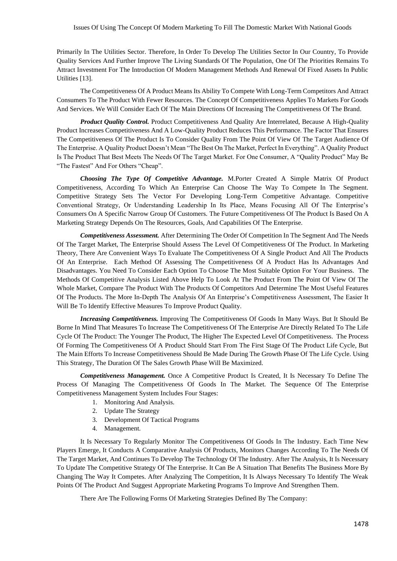Primarily In The Utilities Sector. Therefore, In Order To Develop The Utilities Sector In Our Country, To Provide Quality Services And Further Improve The Living Standards Of The Population, One Of The Priorities Remains To Attract Investment For The Introduction Of Modern Management Methods And Renewal Of Fixed Assets In Public Utilities [13].

The Competitiveness Of A Product Means Its Ability To Compete With Long-Term Competitors And Attract Consumers To The Product With Fewer Resources. The Concept Of Competitiveness Applies To Markets For Goods And Services. We Will Consider Each Of The Main Directions Of Increasing The Competitiveness Of The Brand.

*Product Quality Control.* Product Competitiveness And Quality Are Interrelated, Because A High-Quality Product Increases Competitiveness And A Low-Quality Product Reduces This Performance. The Factor That Ensures The Competitiveness Of The Product Is To Consider Quality From The Point Of View Of The Target Audience Of The Enterprise. A Quality Product Doesn't Mean "The Best On The Market, Perfect In Everything". A Quality Product Is The Product That Best Meets The Needs Of The Target Market. For One Consumer, A "Quality Product" May Be "The Fastest" And For Others "Cheap".

*Choosing The Type Of Competitive Advantage.* M.Porter Created A Simple Matrix Of Product Competitiveness, According To Which An Enterprise Can Choose The Way To Compete In The Segment. Competitive Strategy Sets The Vector For Developing Long-Term Competitive Advantage. Competitive Conventional Strategy, Or Understanding Leadership In Its Place, Means Focusing All Of The Enterprise's Consumers On A Specific Narrow Group Of Customers. The Future Competitiveness Of The Product Is Based On A Marketing Strategy Depends On The Resources, Goals, And Capabilities Of The Enterprise.

*Competitiveness Assessment.* After Determining The Order Of Competition In The Segment And The Needs Of The Target Market, The Enterprise Should Assess The Level Of Competitiveness Of The Product. In Marketing Theory, There Are Convenient Ways To Evaluate The Competitiveness Of A Single Product And All The Products Of An Enterprise. Each Method Of Assessing The Competitiveness Of A Product Has Its Advantages And Disadvantages. You Need To Consider Each Option To Choose The Most Suitable Option For Your Business. The Methods Of Competitive Analysis Listed Above Help To Look At The Product From The Point Of View Of The Whole Market, Compare The Product With The Products Of Competitors And Determine The Most Useful Features Of The Products. The More In-Depth The Analysis Of An Enterprise's Competitiveness Assessment, The Easier It Will Be To Identify Effective Measures To Improve Product Quality.

*Increasing Competitiveness.* Improving The Competitiveness Of Goods In Many Ways. But It Should Be Borne In Mind That Measures To Increase The Competitiveness Of The Enterprise Are Directly Related To The Life Cycle Of The Product: The Younger The Product, The Higher The Expected Level Of Competitiveness. The Process Of Forming The Competitiveness Of A Product Should Start From The First Stage Of The Product Life Cycle, But The Main Efforts To Increase Competitiveness Should Be Made During The Growth Phase Of The Life Cycle. Using This Strategy, The Duration Of The Sales Growth Phase Will Be Maximized.

*Competitiveness Management.* Once A Competitive Product Is Created, It Is Necessary To Define The Process Of Managing The Competitiveness Of Goods In The Market. The Sequence Of The Enterprise Competitiveness Management System Includes Four Stages:

- 1. Monitoring And Analysis.
- 2. Update The Strategy
- 3. Development Of Tactical Programs
- 4. Management.

It Is Necessary To Regularly Monitor The Competitiveness Of Goods In The Industry. Each Time New Players Emerge, It Conducts A Comparative Analysis Of Products, Monitors Changes According To The Needs Of The Target Market, And Continues To Develop The Technology Of The Industry. After The Analysis, It Is Necessary To Update The Competitive Strategy Of The Enterprise. It Can Be A Situation That Benefits The Business More By Changing The Way It Competes. After Analyzing The Competition, It Is Always Necessary To Identify The Weak Points Of The Product And Suggest Appropriate Marketing Programs To Improve And Strengthen Them.

There Are The Following Forms Of Marketing Strategies Defined By The Company: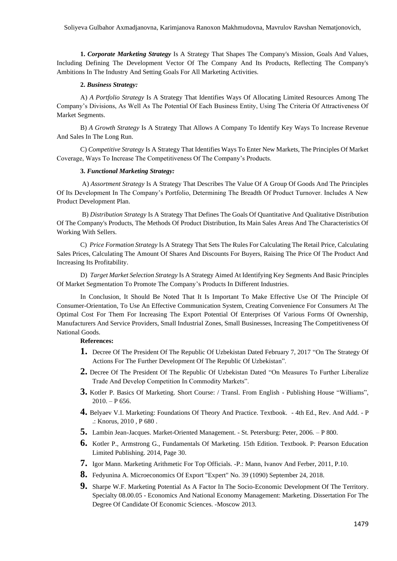**1.** *Corporate Marketing Strategy* Is A Strategy That Shapes The Company's Mission, Goals And Values, Including Defining The Development Vector Of The Company And Its Products, Reflecting The Company's Ambitions In The Industry And Setting Goals For All Marketing Activities.

## **2.** *Business Strategy:*

A) *A Portfolio Strategy* Is A Strategy That Identifies Ways Of Allocating Limited Resources Among The Company's Divisions, As Well As The Potential Of Each Business Entity, Using The Criteria Of Attractiveness Of Market Segments.

B) *A Growth Strategy* Is A Strategy That Allows A Company To Identify Key Ways To Increase Revenue And Sales In The Long Run.

C) *Competitive Strategy* Is A Strategy That Identifies Ways To Enter New Markets, The Principles Of Market Coverage, Ways To Increase The Competitiveness Of The Company's Products.

# **3.** *Functional Marketing Strategy:*

A) *Assortment Strategy* Is A Strategy That Describes The Value Of A Group Of Goods And The Principles Of Its Development In The Company's Portfolio, Determining The Breadth Of Product Turnover. Includes A New Product Development Plan.

B) *Distribution Strategy* Is A Strategy That Defines The Goals Of Quantitative And Qualitative Distribution Of The Company's Products, The Methods Of Product Distribution, Its Main Sales Areas And The Characteristics Of Working With Sellers.

C) *Price Formation Strategy* Is A Strategy That Sets The Rules For Calculating The Retail Price, Calculating Sales Prices, Calculating The Amount Of Shares And Discounts For Buyers, Raising The Price Of The Product And Increasing Its Profitability.

D) *Target Market Selection Strategy* Is A Strategy Aimed At Identifying Key Segments And Basic Principles Of Market Segmentation To Promote The Company's Products In Different Industries.

In Conclusion, It Should Be Noted That It Is Important To Make Effective Use Of The Principle Of Consumer-Orientation, To Use An Effective Communication System, Creating Convenience For Consumers At The Optimal Cost For Them For Increasing The Export Potential Of Enterprises Of Various Forms Of Ownership, Manufacturers And Service Providers, Small Industrial Zones, Small Businesses, Increasing The Competitiveness Of National Goods.

# **References:**

- **1.** Decree Of The President Of The Republic Of Uzbekistan Dated February 7, 2017 "On The Strategy Of Actions For The Further Development Of The Republic Of Uzbekistan".
- **2.** Decree Of The President Of The Republic Of Uzbekistan Dated "On Measures To Further Liberalize Trade And Develop Competition In Commodity Markets".
- **3.** Kotler P. Basics Of Marketing. Short Course: / Transl. From English Publishing House "Williams",  $2010. - P$  656.
- **4.** Belyaev V.I. Marketing: Foundations Of Theory And Practice. Textbook. 4th Ed., Rev. And Add. P .: Knorus, 2010 , P 680 .
- **5.** Lambin Jean-Jacques. Market-Oriented Management. St. Petersburg: Peter, 2006. P 800.
- **6.** Kotler P., Armstrong G., Fundamentals Of Marketing. 15th Edition. Textbook. P: Pearson Education Limited Publishing. 2014, Page 30.
- **7.** Igor Mann. Marketing Arithmetic For Top Officials. -P.: Mann, Ivanov And Ferber, 2011, P.10.
- **8.** Fedyunina A. Microeconomics Of Export "Expert" No. 39 (1090) September 24, 2018.
- **9.** Sharpe W.F. Marketing Potential As A Factor In The Socio-Economic Development Of The Territory. Specialty 08.00.05 - Economics And National Economy Management: Marketing. Dissertation For The Degree Of Candidate Of Economic Sciences. -Moscow 2013.